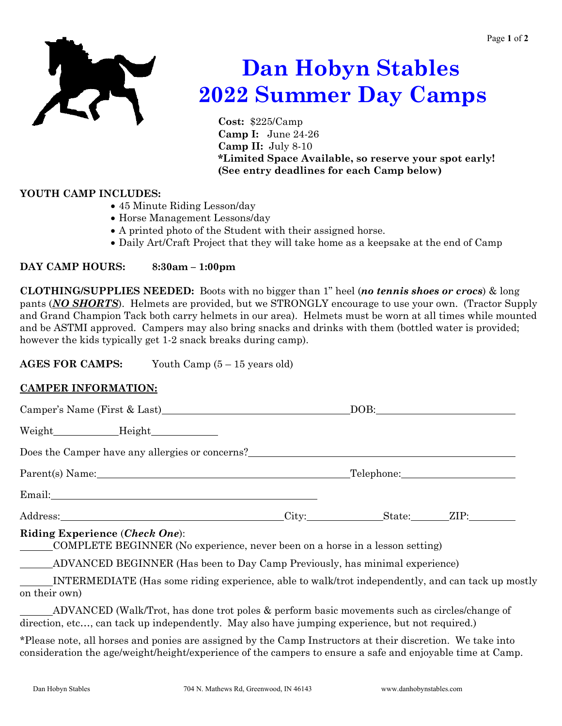

# **Dan Hobyn Stables 2022 Summer Day Camps**

**Cost:** \$225/Camp **Camp I:** June 24-26 **Camp II:** July 8-10  **\*Limited Space Available, so reserve your spot early! (See entry deadlines for each Camp below)**

## **YOUTH CAMP INCLUDES:**

- 45 Minute Riding Lesson/day
- Horse Management Lessons/day
- A printed photo of the Student with their assigned horse.
- Daily Art/Craft Project that they will take home as a keepsake at the end of Camp

## **DAY CAMP HOURS: 8:30am – 1:00pm**

**CLOTHING/SUPPLIES NEEDED:** Boots with no bigger than 1" heel (*no tennis shoes or crocs*) & long pants (*NO SHORTS*). Helmets are provided, but we STRONGLY encourage to use your own. (Tractor Supply and Grand Champion Tack both carry helmets in our area). Helmets must be worn at all times while mounted and be ASTMI approved. Campers may also bring snacks and drinks with them (bottled water is provided; however the kids typically get 1-2 snack breaks during camp).

**AGES FOR CAMPS:** Youth Camp (5 – 15 years old)

# **CAMPER INFORMATION:**

| Camper's Name (First & Last)                                                                                   |                                       | DOB:              |  |
|----------------------------------------------------------------------------------------------------------------|---------------------------------------|-------------------|--|
|                                                                                                                |                                       |                   |  |
| Does the Camper have any allergies or concerns?                                                                |                                       |                   |  |
|                                                                                                                | Parent(s) Name: Telephone: Telephone: |                   |  |
|                                                                                                                |                                       |                   |  |
|                                                                                                                |                                       | City: State: ZIP: |  |
| Riding Experience (Check One):<br>COMPLETE BEGINNER (No experience, never been on a horse in a lesson setting) |                                       |                   |  |
| ADVANCED BEGINNER (Has been to Day Camp Previously, has minimal experience)                                    |                                       |                   |  |
| $\frac{1}{2}$ INTERMENIATE (Heg some riding experience oble to well treat independently and can took up me     |                                       |                   |  |

 INTERMEDIATE (Has some riding experience, able to walk/trot independently, and can tack up mostly on their own)

 ADVANCED (Walk/Trot, has done trot poles & perform basic movements such as circles/change of direction, etc..., can tack up independently. May also have jumping experience, but not required.)

\*Please note, all horses and ponies are assigned by the Camp Instructors at their discretion. We take into consideration the age/weight/height/experience of the campers to ensure a safe and enjoyable time at Camp.